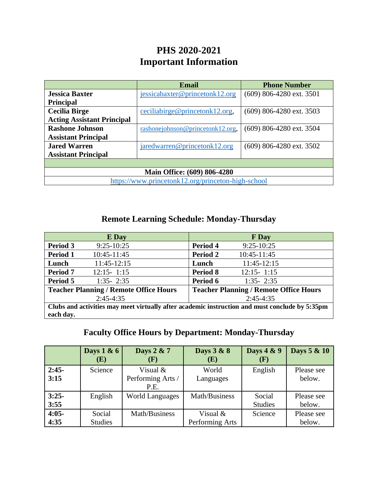## **PHS 2020-2021 Important Information**

| Email                                              |                                  | <b>Phone Number</b>        |  |  |  |
|----------------------------------------------------|----------------------------------|----------------------------|--|--|--|
| <b>Jessica Baxter</b>                              | jessicabaxter@princetonk12.org   | $(609)$ 806-4280 ext. 3501 |  |  |  |
| <b>Principal</b>                                   |                                  |                            |  |  |  |
| <b>Cecilia Birge</b>                               | ceciliabirge@princetonk12.org,   | $(609)$ 806-4280 ext. 3503 |  |  |  |
| <b>Acting Assistant Principal</b>                  |                                  |                            |  |  |  |
| <b>Rashone Johnson</b>                             | rashonejohnson@princetonk12.org, | $(609)$ 806-4280 ext. 3504 |  |  |  |
| <b>Assistant Principal</b>                         |                                  |                            |  |  |  |
| <b>Jared Warren</b>                                | jaredwarren@princetonk12.org     | (609) 806-4280 ext. 3502   |  |  |  |
| <b>Assistant Principal</b>                         |                                  |                            |  |  |  |
|                                                    |                                  |                            |  |  |  |
| <b>Main Office: (609) 806-4280</b>                 |                                  |                            |  |  |  |
| https://www.princetonk12.org/princeton-high-school |                                  |                            |  |  |  |

## **Remote Learning Schedule: Monday-Thursday**

|                                                                                                | E Day          |                                               | <b>F</b> Day   |  |
|------------------------------------------------------------------------------------------------|----------------|-----------------------------------------------|----------------|--|
| Period 3                                                                                       | $9:25-10:25$   | Period 4                                      | $9:25-10:25$   |  |
| Period 1                                                                                       | 10:45-11:45    | Period 2                                      | 10:45-11:45    |  |
| Lunch                                                                                          | 11:45-12:15    | Lunch                                         | 11:45-12:15    |  |
| <b>Period 7</b>                                                                                | $12:15 - 1:15$ | <b>Period 8</b>                               | $12:15 - 1:15$ |  |
| Period 5                                                                                       | $1:35 - 2:35$  | Period 6                                      | $1:35 - 2:35$  |  |
| <b>Teacher Planning / Remote Office Hours</b>                                                  |                | <b>Teacher Planning / Remote Office Hours</b> |                |  |
| $2:45-4:35$                                                                                    |                | $2:45-4:35$                                   |                |  |
| Clubs and activities may meet virtually after academic instruction and must conclude by 5:35pm |                |                                               |                |  |
| each day.                                                                                      |                |                                               |                |  |

## **Faculty Office Hours by Department: Monday-Thursday**

|                 | Days $1 & 6$<br>(E)      | Days 2 & 7<br>(F)                       | Days 3 & 8<br>(E)             | Days 4 & 9<br>(F)        | Days 5 & 10          |
|-----------------|--------------------------|-----------------------------------------|-------------------------------|--------------------------|----------------------|
| $2:45-$<br>3:15 | Science                  | Visual $&$<br>Performing Arts /<br>P.E. | World<br>Languages            | English                  | Please see<br>below. |
| $3:25-$<br>3:55 | English                  | <b>World Languages</b>                  | Math/Business                 | Social<br><b>Studies</b> | Please see<br>below. |
| $4:05-$<br>4:35 | Social<br><b>Studies</b> | Math/Business                           | Visual $&$<br>Performing Arts | Science                  | Please see<br>below. |